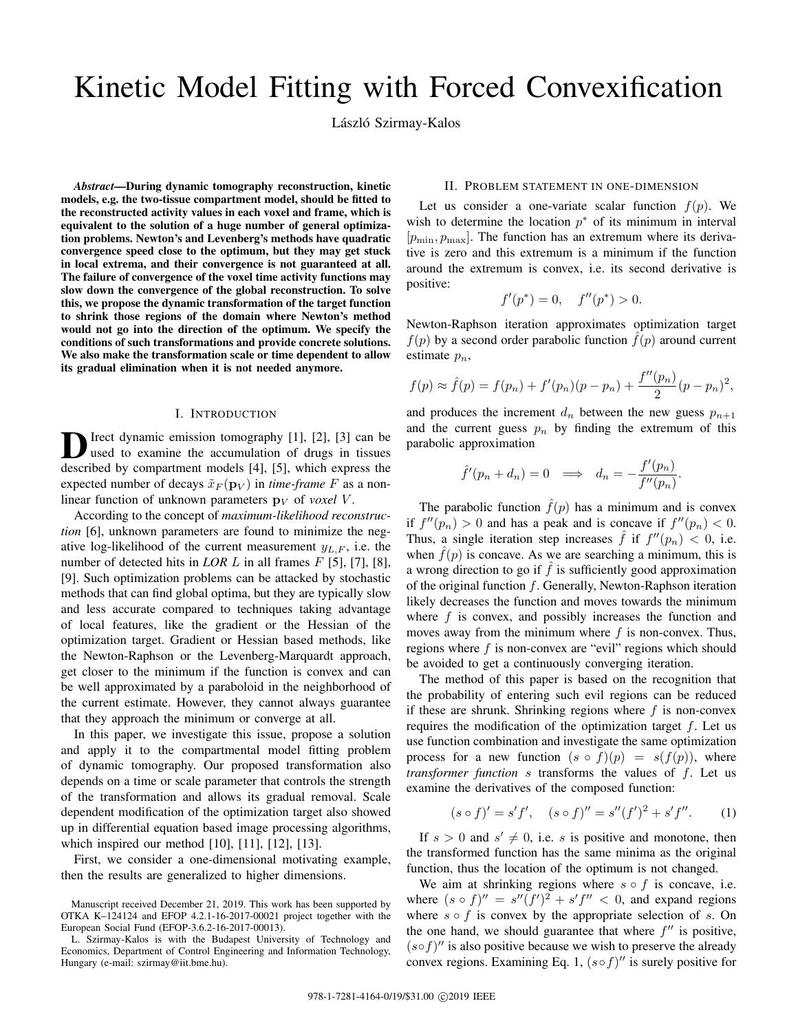# Kinetic Model Fitting with Forced Convexification

László Szirmay-Kalos

*Abstract*—During dynamic tomography reconstruction, kinetic models, e.g. the two-tissue compartment model, should be fitted to the reconstructed activity values in each voxel and frame, which is equivalent to the solution of a huge number of general optimization problems. Newton's and Levenberg's methods have quadratic convergence speed close to the optimum, but they may get stuck in local extrema, and their convergence is not guaranteed at all. The failure of convergence of the voxel time activity functions may slow down the convergence of the global reconstruction. To solve this, we propose the dynamic transformation of the target function to shrink those regions of the domain where Newton's method would not go into the direction of the optimum. We specify the conditions of such transformations and provide concrete solutions. We also make the transformation scale or time dependent to allow its gradual elimination when it is not needed anymore.

## I. INTRODUCTION

D Irect dynamic emission tomography [1], [2], [3] can be used to examine the accumulation of drugs in tissues used to examine the accumulation of drugs in tissues described by compartment models [4], [5], which express the expected number of decays  $\tilde{x}_F(\mathbf{p}_V)$  in *time-frame* F as a nonlinear function of unknown parameters  $\mathbf{p}_V$  of *voxel* V.

According to the concept of *maximum-likelihood reconstruction* [6], unknown parameters are found to minimize the negative log-likelihood of the current measurement  $y_{L,F}$ , i.e. the number of detected hits in *LOR L* in all frames *F* [5], [7], [8], [9]. Such optimization problems can be attacked by stochastic methods that can find global optima, but they are typically slow and less accurate compared to techniques taking advantage of local features, like the gradient or the Hessian of the optimization target. Gradient or Hessian based methods, like the Newton-Raphson or the Levenberg-Marquardt approach, get closer to the minimum if the function is convex and can be well approximated by a paraboloid in the neighborhood of the current estimate. However, they cannot always guarantee that they approach the minimum or converge at all.

In this paper, we investigate this issue, propose a solution and apply it to the compartmental model fitting problem of dynamic tomography. Our proposed transformation also depends on a time or scale parameter that controls the strength of the transformation and allows its gradual removal. Scale dependent modification of the optimization target also showed up in differential equation based image processing algorithms, which inspired our method [10], [11], [12], [13].

First, we consider a one-dimensional motivating example, then the results are generalized to higher dimensions.

# II. PROBLEM STATEMENT IN ONE-DIMENSION

Let us consider a one-variate scalar function  $f(p)$ . We wish to determine the location  $p^*$  of its minimum in interval  $[p_{\min}, p_{\max}]$ . The function has an extremum where its derivative is zero and this extremum is a minimum if the function around the extremum is convex, i.e. its second derivative is positive:

$$
f'(p^*) = 0, \quad f''(p^*) > 0.
$$

Newton-Raphson iteration approximates optimization target  $f(p)$  by a second order parabolic function  $f(p)$  around current estimate  $p_n$ ,

$$
f(p) \approx \hat{f}(p) = f(p_n) + f'(p_n)(p - p_n) + \frac{f''(p_n)}{2}(p - p_n)^2,
$$

and produces the increment  $d_n$  between the new guess  $p_{n+1}$ and the current guess  $p_n$  by finding the extremum of this parabolic approximation

$$
\hat{f}'(p_n + d_n) = 0 \implies d_n = -\frac{f'(p_n)}{f''(p_n)}
$$

.

The parabolic function  $\hat{f}(p)$  has a minimum and is convex if  $f''(p_n) > 0$  and has a peak and is concave if  $f''(p_n) < 0$ . Thus, a single iteration step increases  $\hat{f}$  if  $f''(p_n) < 0$ , i.e. when  $f(p)$  is concave. As we are searching a minimum, this is a wrong direction to go if  $f$  is sufficiently good approximation of the original function  $f$ . Generally, Newton-Raphson iteration likely decreases the function and moves towards the minimum where  $f$  is convex, and possibly increases the function and moves away from the minimum where  $f$  is non-convex. Thus, regions where  $f$  is non-convex are "evil" regions which should be avoided to get a continuously converging iteration.

The method of this paper is based on the recognition that the probability of entering such evil regions can be reduced if these are shrunk. Shrinking regions where  $f$  is non-convex requires the modification of the optimization target  $f$ . Let us use function combination and investigate the same optimization process for a new function  $(s \circ f)(p) = s(f(p))$ , where *transformer function* s transforms the values of f. Let us examine the derivatives of the composed function:

$$
(s \circ f)' = s'f', \quad (s \circ f)'' = s''(f')^{2} + s'f''.
$$
 (1)

If  $s > 0$  and  $s' \neq 0$ , i.e. s is positive and monotone, then the transformed function has the same minima as the original function, thus the location of the optimum is not changed.

We aim at shrinking regions where  $s \circ f$  is concave, i.e. where  $(s \circ f)'' = s''(f')^2 + s'f'' < 0$ , and expand regions where  $s \circ f$  is convex by the appropriate selection of s. On the one hand, we should guarantee that where  $f''$  is positive,  $(s \circ f)$ " is also positive because we wish to preserve the already convex regions. Examining Eq. 1,  $(s \circ f)$ " is surely positive for

Manuscript received December 21, 2019. This work has been supported by OTKA K–124124 and EFOP 4.2.1-16-2017-00021 project together with the European Social Fund (EFOP-3.6.2-16-2017-00013).

L. Szirmay-Kalos is with the Budapest University of Technology and Economics, Department of Control Engineering and Information Technology, Hungary (e-mail: szirmay@iit.bme.hu).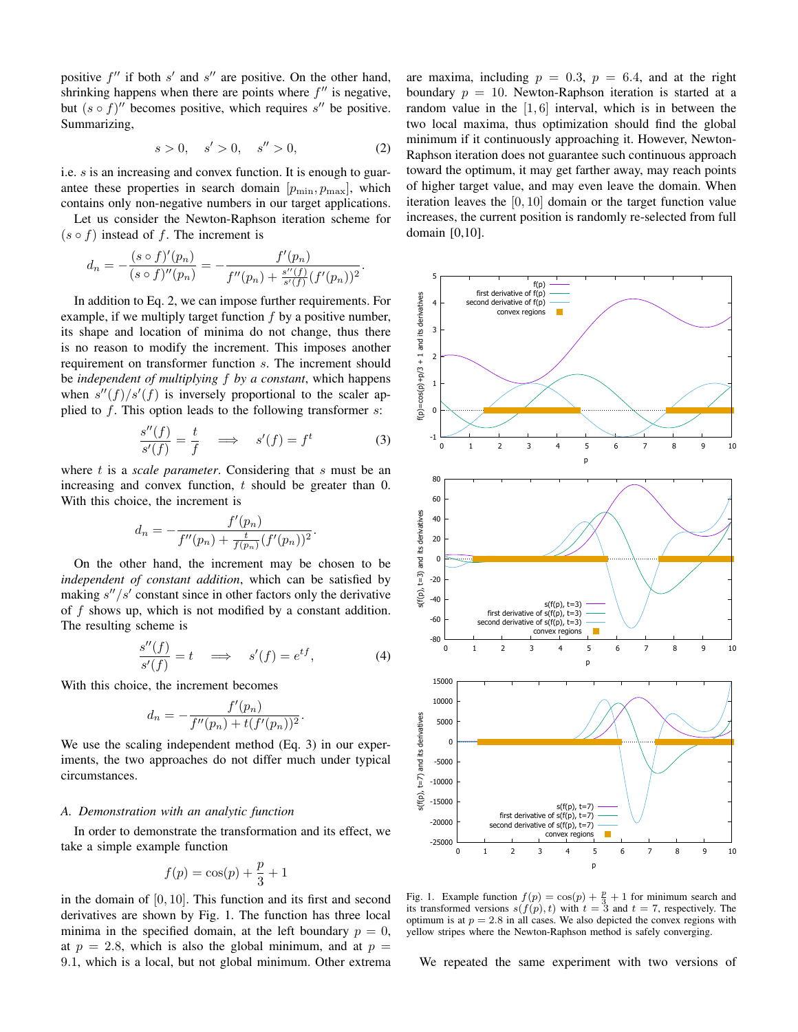positive  $f''$  if both  $s'$  and  $s''$  are positive. On the other hand, shrinking happens when there are points where  $f''$  is negative, but  $(s \circ f)''$  becomes positive, which requires s'' be positive. Summarizing,

$$
s > 0, \quad s' > 0, \quad s'' > 0,\tag{2}
$$

i.e. s is an increasing and convex function. It is enough to guarantee these properties in search domain  $[p_{\min}, p_{\max}]$ , which contains only non-negative numbers in our target applications.

Let us consider the Newton-Raphson iteration scheme for  $(s \circ f)$  instead of f. The increment is

 $\sim$ 

$$
d_n = -\frac{(s \circ f)'(p_n)}{(s \circ f)''(p_n)} = -\frac{f'(p_n)}{f''(p_n) + \frac{s''(f)}{s'(f)}(f'(p_n))^2}.
$$

In addition to Eq. 2, we can impose further requirements. For example, if we multiply target function  $f$  by a positive number, its shape and location of minima do not change, thus there is no reason to modify the increment. This imposes another requirement on transformer function s. The increment should be *independent of multiplying* f *by a constant*, which happens when  $s''(f)/s'(f)$  is inversely proportional to the scaler applied to  $f$ . This option leads to the following transformer  $s$ :

$$
\frac{s''(f)}{s'(f)} = \frac{t}{f} \quad \Longrightarrow \quad s'(f) = f^t \tag{3}
$$

where t is a *scale parameter*. Considering that s must be an increasing and convex function,  $t$  should be greater than 0. With this choice, the increment is

$$
d_n = -\frac{f'(p_n)}{f''(p_n) + \frac{t}{f(p_n)}(f'(p_n))^2}.
$$

On the other hand, the increment may be chosen to be *independent of constant addition*, which can be satisfied by making  $s''/s'$  constant since in other factors only the derivative of  $f$  shows up, which is not modified by a constant addition. The resulting scheme is

$$
\frac{s''(f)}{s'(f)} = t \quad \Longrightarrow \quad s'(f) = e^{tf},\tag{4}
$$

.

With this choice, the increment becomes

$$
d_n = -\frac{f'(p_n)}{f''(p_n) + t(f'(p_n))^2}
$$

We use the scaling independent method (Eq. 3) in our experiments, the two approaches do not differ much under typical circumstances.

## *A. Demonstration with an analytic function*

In order to demonstrate the transformation and its effect, we take a simple example function

$$
f(p) = \cos(p) + \frac{p}{3} + 1
$$

in the domain of [0, 10]. This function and its first and second derivatives are shown by Fig. 1. The function has three local minima in the specified domain, at the left boundary  $p = 0$ , at  $p = 2.8$ , which is also the global minimum, and at  $p =$ 9.1, which is a local, but not global minimum. Other extrema are maxima, including  $p = 0.3$ ,  $p = 6.4$ , and at the right boundary  $p = 10$ . Newton-Raphson iteration is started at a random value in the  $[1, 6]$  interval, which is in between the two local maxima, thus optimization should find the global minimum if it continuously approaching it. However, Newton-Raphson iteration does not guarantee such continuous approach toward the optimum, it may get farther away, may reach points of higher target value, and may even leave the domain. When iteration leaves the [0, 10] domain or the target function value increases, the current position is randomly re-selected from full domain [0,10].



Fig. 1. Example function  $f(p) = \cos(p) + \frac{p}{3} + 1$  for minimum search and its transformed versions  $s(f(p), t)$  with  $t = 3$  and  $t = 7$ , respectively. The optimum is at  $p = 2.8$  in all cases. We also depicted the convex regions with yellow stripes where the Newton-Raphson method is safely converging.

We repeated the same experiment with two versions of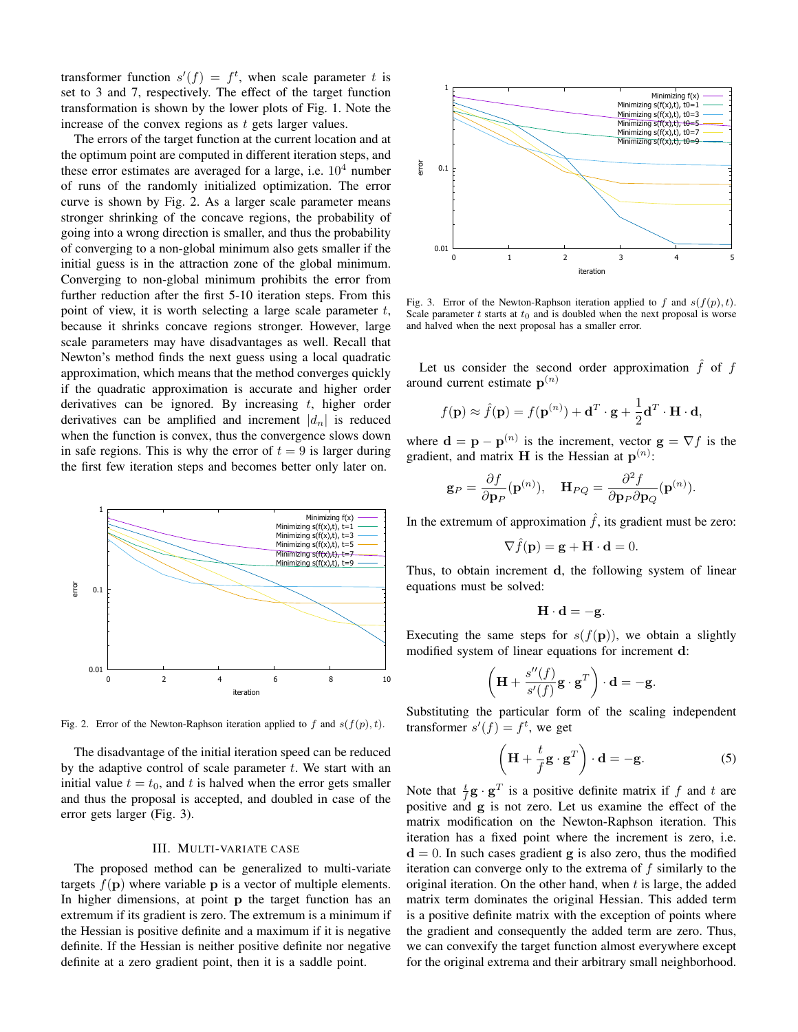transformer function  $s'(f) = f^t$ , when scale parameter t is set to 3 and 7, respectively. The effect of the target function transformation is shown by the lower plots of Fig. 1. Note the increase of the convex regions as t gets larger values.

The errors of the target function at the current location and at the optimum point are computed in different iteration steps, and these error estimates are averaged for a large, i.e.  $10^4$  number of runs of the randomly initialized optimization. The error curve is shown by Fig. 2. As a larger scale parameter means stronger shrinking of the concave regions, the probability of going into a wrong direction is smaller, and thus the probability of converging to a non-global minimum also gets smaller if the initial guess is in the attraction zone of the global minimum. Converging to non-global minimum prohibits the error from further reduction after the first 5-10 iteration steps. From this point of view, it is worth selecting a large scale parameter  $t$ , because it shrinks concave regions stronger. However, large scale parameters may have disadvantages as well. Recall that Newton's method finds the next guess using a local quadratic approximation, which means that the method converges quickly if the quadratic approximation is accurate and higher order derivatives can be ignored. By increasing  $t$ , higher order derivatives can be amplified and increment  $|d_n|$  is reduced when the function is convex, thus the convergence slows down in safe regions. This is why the error of  $t = 9$  is larger during the first few iteration steps and becomes better only later on.



Fig. 2. Error of the Newton-Raphson iteration applied to f and  $s(f(p), t)$ .

The disadvantage of the initial iteration speed can be reduced by the adaptive control of scale parameter  $t$ . We start with an initial value  $t = t_0$ , and t is halved when the error gets smaller and thus the proposal is accepted, and doubled in case of the error gets larger (Fig. 3).

## III. MULTI-VARIATE CASE

The proposed method can be generalized to multi-variate targets  $f(\mathbf{p})$  where variable  $\mathbf{p}$  is a vector of multiple elements. In higher dimensions, at point p the target function has an extremum if its gradient is zero. The extremum is a minimum if the Hessian is positive definite and a maximum if it is negative definite. If the Hessian is neither positive definite nor negative definite at a zero gradient point, then it is a saddle point.



Fig. 3. Error of the Newton-Raphson iteration applied to f and  $s(f(p), t)$ . Scale parameter  $t$  starts at  $t_0$  and is doubled when the next proposal is worse and halved when the next proposal has a smaller error.

Let us consider the second order approximation  $\hat{f}$  of  $f$ around current estimate  $p^{(n)}$ 

$$
f(\mathbf{p}) \approx \hat{f}(\mathbf{p}) = f(\mathbf{p}^{(n)}) + \mathbf{d}^T \cdot \mathbf{g} + \frac{1}{2} \mathbf{d}^T \cdot \mathbf{H} \cdot \mathbf{d},
$$

where  $\mathbf{d} = \mathbf{p} - \mathbf{p}^{(n)}$  is the increment, vector  $\mathbf{g} = \nabla f$  is the gradient, and matrix **H** is the Hessian at  $p^{(n)}$ :

$$
\mathbf{g}_P = \frac{\partial f}{\partial \mathbf{p}_P}(\mathbf{p}^{(n)}), \quad \mathbf{H}_{PQ} = \frac{\partial^2 f}{\partial \mathbf{p}_P \partial \mathbf{p}_Q}(\mathbf{p}^{(n)}).
$$

In the extremum of approximation  $\hat{f}$ , its gradient must be zero:

$$
\nabla \hat{f}(\mathbf{p}) = \mathbf{g} + \mathbf{H} \cdot \mathbf{d} = 0.
$$

Thus, to obtain increment d, the following system of linear equations must be solved:

$$
\mathbf{H} \cdot \mathbf{d} = -\mathbf{g}.
$$

Executing the same steps for  $s(f(\mathbf{p}))$ , we obtain a slightly modified system of linear equations for increment d:

$$
\left(\mathbf{H} + \frac{s''(f)}{s'(f)}\mathbf{g} \cdot \mathbf{g}^T\right) \cdot \mathbf{d} = -\mathbf{g}.
$$

Substituting the particular form of the scaling independent transformer  $s'(f) = f^t$ , we get

$$
\left(\mathbf{H} + \frac{t}{f}\mathbf{g} \cdot \mathbf{g}^T\right) \cdot \mathbf{d} = -\mathbf{g}.
$$
 (5)

Note that  $\frac{t}{f}$ **g** · **g**<sup>T</sup> is a positive definite matrix if f and t are positive and g is not zero. Let us examine the effect of the matrix modification on the Newton-Raphson iteration. This iteration has a fixed point where the increment is zero, i.e.  $d = 0$ . In such cases gradient g is also zero, thus the modified iteration can converge only to the extrema of f similarly to the original iteration. On the other hand, when  $t$  is large, the added matrix term dominates the original Hessian. This added term is a positive definite matrix with the exception of points where the gradient and consequently the added term are zero. Thus, we can convexify the target function almost everywhere except for the original extrema and their arbitrary small neighborhood.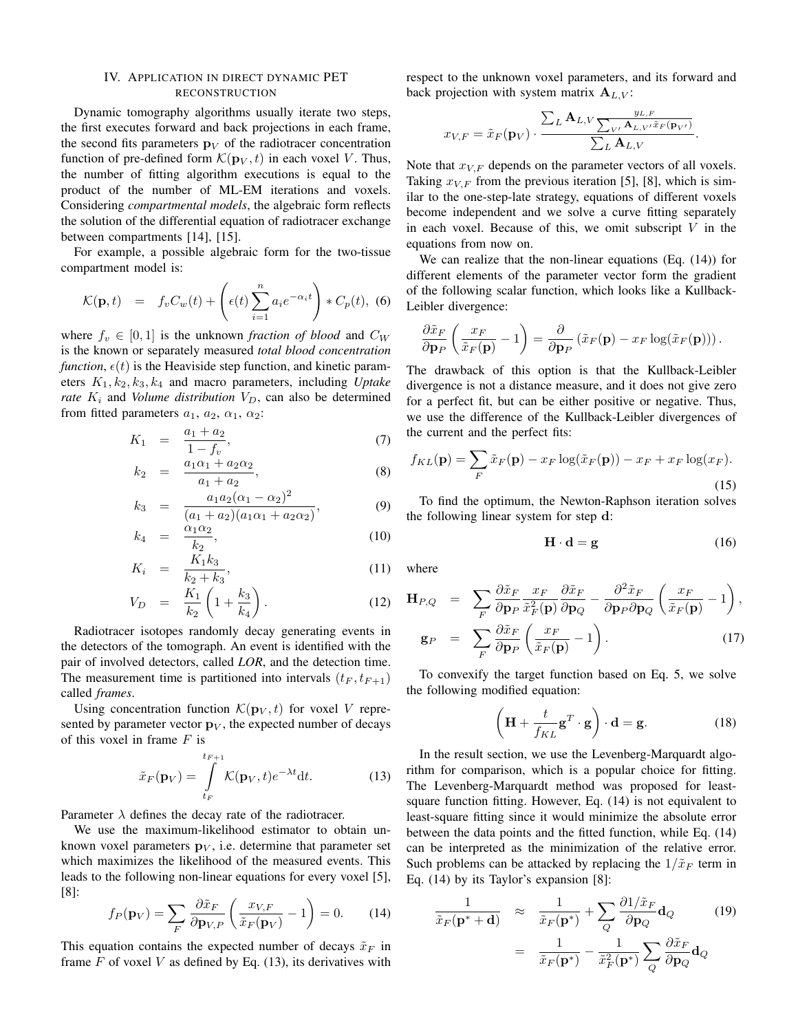## IV. APPLICATION IN DIRECT DYNAMIC PET RECONSTRUCTION

Dynamic tomography algorithms usually iterate two steps, the first executes forward and back projections in each frame, the second fits parameters  $\mathbf{p}_V$  of the radiotracer concentration function of pre-defined form  $\mathcal{K}(\mathbf{p}_V, t)$  in each voxel V. Thus, the number of fitting algorithm executions is equal to the product of the number of ML-EM iterations and voxels. Considering *compartmental models*, the algebraic form reflects the solution of the differential equation of radiotracer exchange between compartments [14], [15].

For example, a possible algebraic form for the two-tissue compartment model is:

$$
\mathcal{K}(\mathbf{p},t) = f_v C_w(t) + \left(\epsilon(t) \sum_{i=1}^n a_i e^{-\alpha_i t}\right) * C_p(t), \tag{6}
$$

where  $f_v \in [0, 1]$  is the unknown *fraction of blood* and  $C_W$ is the known or separately measured *total blood concentration function,*  $\epsilon(t)$  is the Heaviside step function, and kinetic parameters  $K_1, k_2, k_3, k_4$  and macro parameters, including *Uptake rate*  $K_i$  and *Volume distribution*  $V_D$ , can also be determined from fitted parameters  $a_1$ ,  $a_2$ ,  $\alpha_1$ ,  $\alpha_2$ :

$$
K_1 = \frac{a_1 + a_2}{1 - f_v}, \tag{7}
$$

$$
k_2 = \frac{a_1 \alpha_1 + a_2 \alpha_2}{a_1 + a_2}, \tag{8}
$$

$$
k_3 = \frac{a_1 a_2 (\alpha_1 - \alpha_2)^2}{(a_1 + a_2)(a_1 \alpha_1 + a_2 \alpha_2)}, \tag{9}
$$

$$
k_4 = \frac{\alpha_1 \alpha_2}{k_2}, \tag{10}
$$

$$
K_i = \frac{K_1 k_3}{k_2 + k_3},\tag{11}
$$

$$
V_D = \frac{K_1}{k_2} \left( 1 + \frac{k_3}{k_4} \right). \tag{12}
$$

Radiotracer isotopes randomly decay generating events in the detectors of the tomograph. An event is identified with the pair of involved detectors, called *LOR*, and the detection time. The measurement time is partitioned into intervals  $(t_F, t_{F+1})$ called *frames*.

Using concentration function  $\mathcal{K}(\mathbf{p}_V, t)$  for voxel V represented by parameter vector  $\mathbf{p}_V$ , the expected number of decays of this voxel in frame  $F$  is

$$
\tilde{x}_F(\mathbf{p}_V) = \int_{t_F}^{t_{F+1}} \mathcal{K}(\mathbf{p}_V, t) e^{-\lambda t} dt.
$$
 (13)

Parameter  $\lambda$  defines the decay rate of the radiotracer.

We use the maximum-likelihood estimator to obtain unknown voxel parameters  $\mathbf{p}_V$ , i.e. determine that parameter set which maximizes the likelihood of the measured events. This leads to the following non-linear equations for every voxel [5], [8]:

$$
f_P(\mathbf{p}_V) = \sum_F \frac{\partial \tilde{x}_F}{\partial \mathbf{p}_{V,P}} \left( \frac{x_{V,F}}{\tilde{x}_F(\mathbf{p}_V)} - 1 \right) = 0. \tag{14}
$$

This equation contains the expected number of decays  $\tilde{x}_F$  in frame  $F$  of voxel  $V$  as defined by Eq. (13), its derivatives with respect to the unknown voxel parameters, and its forward and back projection with system matrix  $A_{L,V}$ :

$$
x_{V,F} = \tilde{x}_F(\mathbf{p}_V) \cdot \frac{\sum_L \mathbf{A}_{L,V} \frac{y_{L,F}}{\sum_{V'} \mathbf{A}_{L,V'} \tilde{x}_F(\mathbf{p}_{V'})}}{\sum_L \mathbf{A}_{L,V}}.
$$

Note that  $x_{V,F}$  depends on the parameter vectors of all voxels. Taking  $x_{V,F}$  from the previous iteration [5], [8], which is similar to the one-step-late strategy, equations of different voxels become independent and we solve a curve fitting separately in each voxel. Because of this, we omit subscript  $V$  in the equations from now on.

We can realize that the non-linear equations (Eq. (14)) for different elements of the parameter vector form the gradient of the following scalar function, which looks like a Kullback-Leibler divergence:

$$
\frac{\partial \tilde{x}_F}{\partial \mathbf{p}_P} \left( \frac{x_F}{\tilde{x}_F(\mathbf{p})} - 1 \right) = \frac{\partial}{\partial \mathbf{p}_P} \left( \tilde{x}_F(\mathbf{p}) - x_F \log(\tilde{x}_F(\mathbf{p})) \right).
$$

The drawback of this option is that the Kullback-Leibler divergence is not a distance measure, and it does not give zero for a perfect fit, but can be either positive or negative. Thus, we use the difference of the Kullback-Leibler divergences of the current and the perfect fits:

$$
f_{KL}(\mathbf{p}) = \sum_{F} \tilde{x}_F(\mathbf{p}) - x_F \log(\tilde{x}_F(\mathbf{p})) - x_F + x_F \log(x_F).
$$
\n(15)

To find the optimum, the Newton-Raphson iteration solves the following linear system for step d:

$$
\mathbf{H} \cdot \mathbf{d} = \mathbf{g} \tag{16}
$$

where

$$
\mathbf{H}_{P,Q} = \sum_{F} \frac{\partial \tilde{x}_F}{\partial \mathbf{p}_P} \frac{x_F}{\tilde{x}_F^2(\mathbf{p})} \frac{\partial \tilde{x}_F}{\partial \mathbf{p}_Q} - \frac{\partial^2 \tilde{x}_F}{\partial \mathbf{p}_P \partial \mathbf{p}_Q} \left( \frac{x_F}{\tilde{x}_F(\mathbf{p})} - 1 \right),
$$

$$
\mathbf{g}_P = \sum_{F} \frac{\partial \tilde{x}_F}{\partial \mathbf{p}_P} \left( \frac{x_F}{\tilde{x}_F(\mathbf{p})} - 1 \right).
$$
(17)

To convexify the target function based on Eq. 5, we solve the following modified equation:

$$
\left(\mathbf{H} + \frac{t}{f_{KL}}\mathbf{g}^T \cdot \mathbf{g}\right) \cdot \mathbf{d} = \mathbf{g}.
$$
 (18)

In the result section, we use the Levenberg-Marquardt algorithm for comparison, which is a popular choice for fitting. The Levenberg-Marquardt method was proposed for leastsquare function fitting. However, Eq. (14) is not equivalent to least-square fitting since it would minimize the absolute error between the data points and the fitted function, while Eq. (14) can be interpreted as the minimization of the relative error. Such problems can be attacked by replacing the  $1/\tilde{x}_F$  term in Eq. (14) by its Taylor's expansion [8]:

$$
\frac{1}{\tilde{x}_F(\mathbf{p}^* + \mathbf{d})} \approx \frac{1}{\tilde{x}_F(\mathbf{p}^*)} + \sum_{Q} \frac{\partial 1/\tilde{x}_F}{\partial \mathbf{p}_Q} \mathbf{d}_Q \qquad (19)
$$

$$
= \frac{1}{\tilde{x}_F(\mathbf{p}^*)} - \frac{1}{\tilde{x}_F^2(\mathbf{p}^*)} \sum_{Q} \frac{\partial \tilde{x}_F}{\partial \mathbf{p}_Q} \mathbf{d}_Q
$$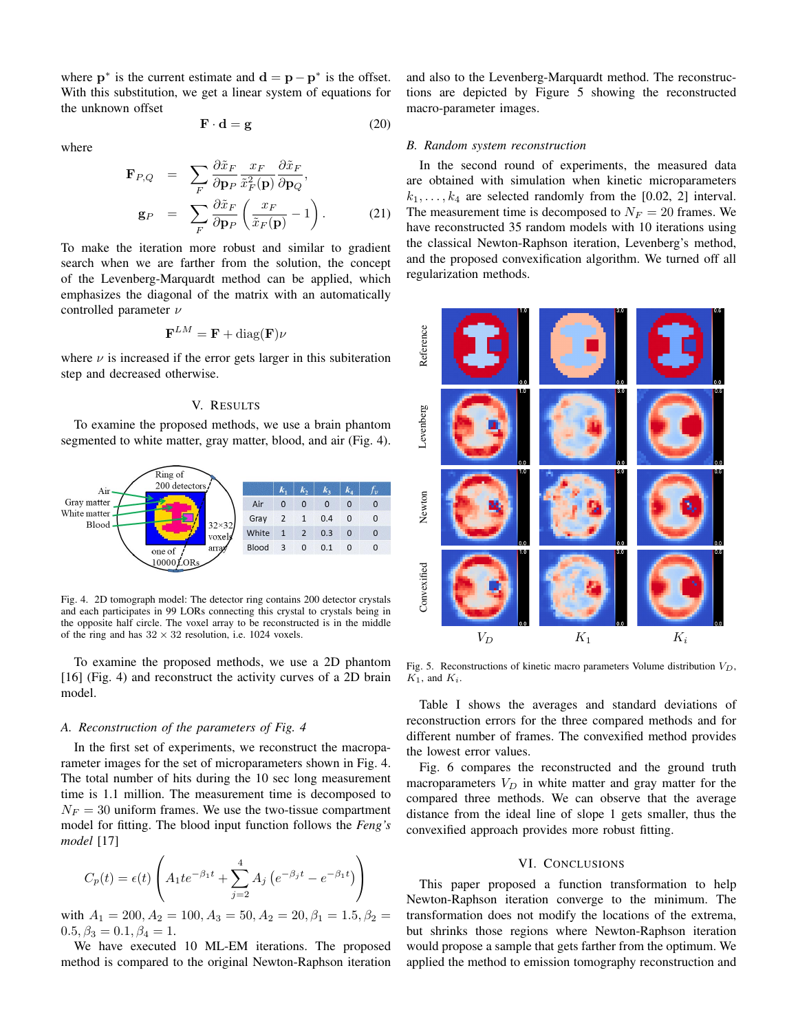where  $\mathbf{p}^*$  is the current estimate and  $\mathbf{d} = \mathbf{p} - \mathbf{p}^*$  is the offset. With this substitution, we get a linear system of equations for the unknown offset

$$
\mathbf{F} \cdot \mathbf{d} = \mathbf{g} \tag{20}
$$

where

$$
\mathbf{F}_{P,Q} = \sum_{F} \frac{\partial \tilde{x}_F}{\partial \mathbf{p}_P} \frac{x_F}{\tilde{x}_F^2(\mathbf{p})} \frac{\partial \tilde{x}_F}{\partial \mathbf{p}_Q},
$$
\n
$$
\mathbf{g}_P = \sum_{F} \frac{\partial \tilde{x}_F}{\partial \mathbf{p}_P} \left( \frac{x_F}{\tilde{x}_F(\mathbf{p})} - 1 \right).
$$
\n(21)

To make the iteration more robust and similar to gradient search when we are farther from the solution, the concept of the Levenberg-Marquardt method can be applied, which emphasizes the diagonal of the matrix with an automatically controlled parameter  $\nu$ 

$$
\mathbf{F}^{LM} = \mathbf{F} + \text{diag}(\mathbf{F})\nu
$$

where  $\nu$  is increased if the error gets larger in this subiteration step and decreased otherwise.

#### V. RESULTS

To examine the proposed methods, we use a brain phantom segmented to white matter, gray matter, blood, and air (Fig. 4).



Fig. 4. 2D tomograph model: The detector ring contains 200 detector crystals and each participates in 99 LORs connecting this crystal to crystals being in the opposite half circle. The voxel array to be reconstructed is in the middle of the ring and has  $32 \times 32$  resolution, i.e. 1024 voxels.

To examine the proposed methods, we use a 2D phantom [16] (Fig. 4) and reconstruct the activity curves of a 2D brain model.

#### *A. Reconstruction of the parameters of Fig. 4*

In the first set of experiments, we reconstruct the macroparameter images for the set of microparameters shown in Fig. 4. The total number of hits during the 10 sec long measurement time is 1.1 million. The measurement time is decomposed to  $N_F = 30$  uniform frames. We use the two-tissue compartment model for fitting. The blood input function follows the *Feng's model* [17]

$$
C_p(t) = \epsilon(t) \left( A_1 t e^{-\beta_1 t} + \sum_{j=2}^4 A_j \left( e^{-\beta_j t} - e^{-\beta_1 t} \right) \right)
$$

with  $A_1 = 200, A_2 = 100, A_3 = 50, A_2 = 20, \beta_1 = 1.5, \beta_2 =$  $0.5, \beta_3 = 0.1, \beta_4 = 1.$ 

We have executed 10 ML-EM iterations. The proposed method is compared to the original Newton-Raphson iteration and also to the Levenberg-Marquardt method. The reconstructions are depicted by Figure 5 showing the reconstructed macro-parameter images.

## *B. Random system reconstruction*

In the second round of experiments, the measured data are obtained with simulation when kinetic microparameters  $k_1, \ldots, k_4$  are selected randomly from the [0.02, 2] interval. The measurement time is decomposed to  $N_F = 20$  frames. We have reconstructed 35 random models with 10 iterations using the classical Newton-Raphson iteration, Levenberg's method, and the proposed convexification algorithm. We turned off all regularization methods.



Fig. 5. Reconstructions of kinetic macro parameters Volume distribution  $V_D$ ,  $K_1$ , and  $K_i$ .

Table I shows the averages and standard deviations of reconstruction errors for the three compared methods and for different number of frames. The convexified method provides the lowest error values.

Fig. 6 compares the reconstructed and the ground truth macroparameters  $V_D$  in white matter and gray matter for the compared three methods. We can observe that the average distance from the ideal line of slope 1 gets smaller, thus the convexified approach provides more robust fitting.

## VI. CONCLUSIONS

This paper proposed a function transformation to help Newton-Raphson iteration converge to the minimum. The transformation does not modify the locations of the extrema, but shrinks those regions where Newton-Raphson iteration would propose a sample that gets farther from the optimum. We applied the method to emission tomography reconstruction and